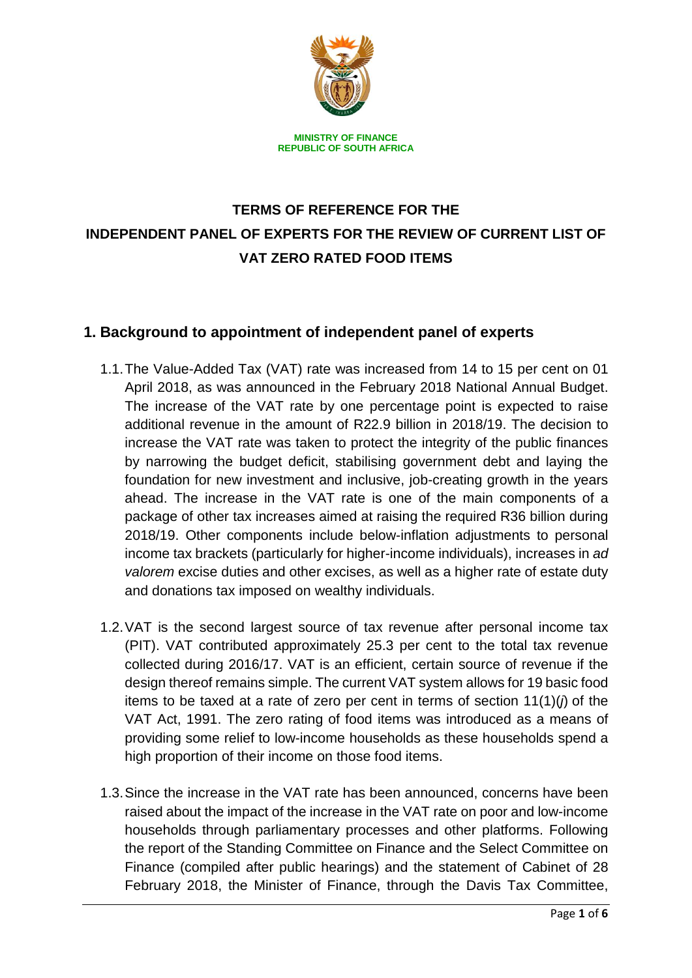

**REPUBLIC OF SOUTH AFRICA**

# **TERMS OF REFERENCE FOR THE INDEPENDENT PANEL OF EXPERTS FOR THE REVIEW OF CURRENT LIST OF VAT ZERO RATED FOOD ITEMS**

### **1. Background to appointment of independent panel of experts**

- 1.1.The Value-Added Tax (VAT) rate was increased from 14 to 15 per cent on 01 April 2018, as was announced in the February 2018 National Annual Budget. The increase of the VAT rate by one percentage point is expected to raise additional revenue in the amount of R22.9 billion in 2018/19. The decision to increase the VAT rate was taken to protect the integrity of the public finances by narrowing the budget deficit, stabilising government debt and laying the foundation for new investment and inclusive, job-creating growth in the years ahead. The increase in the VAT rate is one of the main components of a package of other tax increases aimed at raising the required R36 billion during 2018/19. Other components include below-inflation adjustments to personal income tax brackets (particularly for higher-income individuals), increases in *ad valorem* excise duties and other excises, as well as a higher rate of estate duty and donations tax imposed on wealthy individuals.
- 1.2.VAT is the second largest source of tax revenue after personal income tax (PIT). VAT contributed approximately 25.3 per cent to the total tax revenue collected during 2016/17. VAT is an efficient, certain source of revenue if the design thereof remains simple. The current VAT system allows for 19 basic food items to be taxed at a rate of zero per cent in terms of section 11(1)(*j*) of the VAT Act, 1991. The zero rating of food items was introduced as a means of providing some relief to low-income households as these households spend a high proportion of their income on those food items.
- 1.3.Since the increase in the VAT rate has been announced, concerns have been raised about the impact of the increase in the VAT rate on poor and low-income households through parliamentary processes and other platforms. Following the report of the Standing Committee on Finance and the Select Committee on Finance (compiled after public hearings) and the statement of Cabinet of 28 February 2018, the Minister of Finance, through the Davis Tax Committee,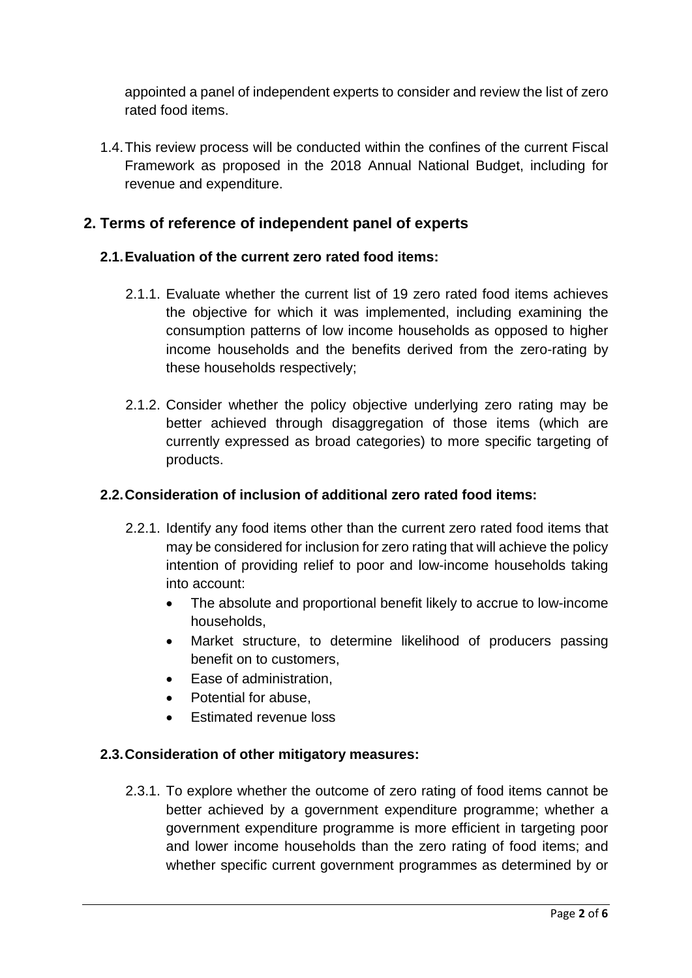appointed a panel of independent experts to consider and review the list of zero rated food items.

1.4.This review process will be conducted within the confines of the current Fiscal Framework as proposed in the 2018 Annual National Budget, including for revenue and expenditure.

# **2. Terms of reference of independent panel of experts**

### **2.1.Evaluation of the current zero rated food items:**

- 2.1.1. Evaluate whether the current list of 19 zero rated food items achieves the objective for which it was implemented, including examining the consumption patterns of low income households as opposed to higher income households and the benefits derived from the zero-rating by these households respectively;
- 2.1.2. Consider whether the policy objective underlying zero rating may be better achieved through disaggregation of those items (which are currently expressed as broad categories) to more specific targeting of products.

### **2.2.Consideration of inclusion of additional zero rated food items:**

- 2.2.1. Identify any food items other than the current zero rated food items that may be considered for inclusion for zero rating that will achieve the policy intention of providing relief to poor and low-income households taking into account:
	- The absolute and proportional benefit likely to accrue to low-income households,
	- Market structure, to determine likelihood of producers passing benefit on to customers,
	- Ease of administration,
	- Potential for abuse.
	- Estimated revenue loss

### **2.3.Consideration of other mitigatory measures:**

2.3.1. To explore whether the outcome of zero rating of food items cannot be better achieved by a government expenditure programme; whether a government expenditure programme is more efficient in targeting poor and lower income households than the zero rating of food items; and whether specific current government programmes as determined by or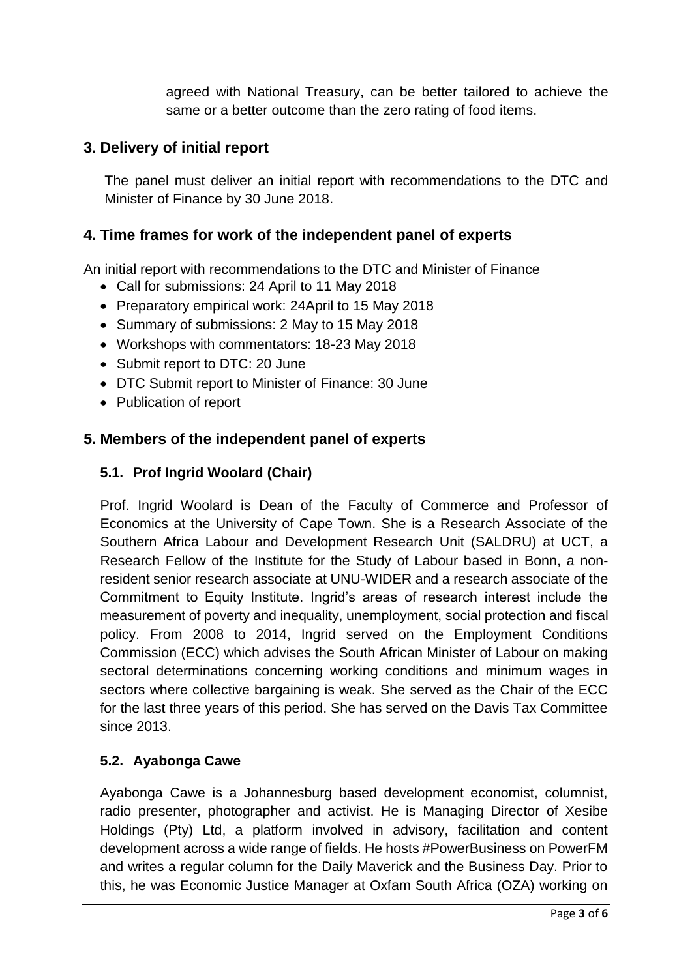agreed with National Treasury, can be better tailored to achieve the same or a better outcome than the zero rating of food items.

### **3. Delivery of initial report**

The panel must deliver an initial report with recommendations to the DTC and Minister of Finance by 30 June 2018.

### **4. Time frames for work of the independent panel of experts**

An initial report with recommendations to the DTC and Minister of Finance

- Call for submissions: 24 April to 11 May 2018
- Preparatory empirical work: 24April to 15 Mav 2018
- Summary of submissions: 2 May to 15 May 2018
- Workshops with commentators: 18-23 May 2018
- Submit report to DTC: 20 June
- DTC Submit report to Minister of Finance: 30 June
- Publication of report

### **5. Members of the independent panel of experts**

#### **5.1. Prof Ingrid Woolard (Chair)**

Prof. Ingrid Woolard is Dean of the Faculty of Commerce and Professor of Economics at the University of Cape Town. She is a Research Associate of the Southern Africa Labour and Development Research Unit (SALDRU) at UCT, a Research Fellow of the Institute for the Study of Labour based in Bonn, a nonresident senior research associate at UNU-WIDER and a research associate of the Commitment to Equity Institute. Ingrid's areas of research interest include the measurement of poverty and inequality, unemployment, social protection and fiscal policy. From 2008 to 2014, Ingrid served on the Employment Conditions Commission (ECC) which advises the South African Minister of Labour on making sectoral determinations concerning working conditions and minimum wages in sectors where collective bargaining is weak. She served as the Chair of the ECC for the last three years of this period. She has served on the Davis Tax Committee since 2013.

#### **5.2. Ayabonga Cawe**

Ayabonga Cawe is a Johannesburg based development economist, columnist, radio presenter, photographer and activist. He is Managing Director of Xesibe Holdings (Pty) Ltd, a platform involved in advisory, facilitation and content development across a wide range of fields. He hosts #PowerBusiness on PowerFM and writes a regular column for the Daily Maverick and the Business Day. Prior to this, he was Economic Justice Manager at Oxfam South Africa (OZA) working on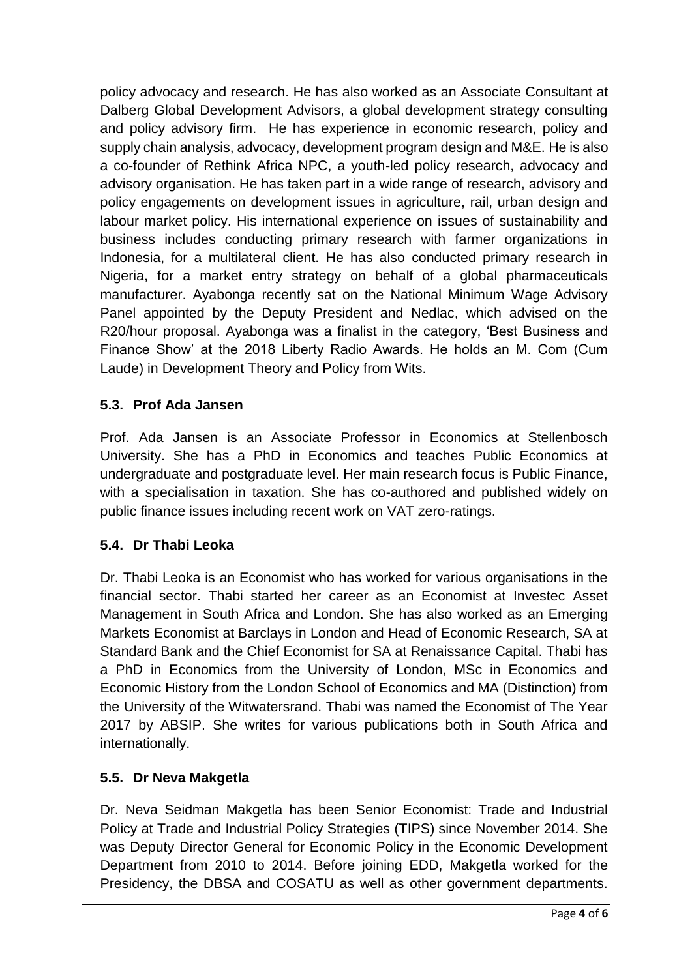policy advocacy and research. He has also worked as an Associate Consultant at Dalberg Global Development Advisors, a global development strategy consulting and policy advisory firm. He has experience in economic research, policy and supply chain analysis, advocacy, development program design and M&E. He is also a co-founder of Rethink Africa NPC, a youth-led policy research, advocacy and advisory organisation. He has taken part in a wide range of research, advisory and policy engagements on development issues in agriculture, rail, urban design and labour market policy. His international experience on issues of sustainability and business includes conducting primary research with farmer organizations in Indonesia, for a multilateral client. He has also conducted primary research in Nigeria, for a market entry strategy on behalf of a global pharmaceuticals manufacturer. Ayabonga recently sat on the National Minimum Wage Advisory Panel appointed by the Deputy President and Nedlac, which advised on the R20/hour proposal. Ayabonga was a finalist in the category, 'Best Business and Finance Show' at the 2018 Liberty Radio Awards. He holds an M. Com (Cum Laude) in Development Theory and Policy from Wits.

# **5.3. Prof Ada Jansen**

Prof. Ada Jansen is an Associate Professor in Economics at Stellenbosch University. She has a PhD in Economics and teaches Public Economics at undergraduate and postgraduate level. Her main research focus is Public Finance, with a specialisation in taxation. She has co-authored and published widely on public finance issues including recent work on VAT zero-ratings.

# **5.4. Dr Thabi Leoka**

Dr. Thabi Leoka is an Economist who has worked for various organisations in the financial sector. Thabi started her career as an Economist at Investec Asset Management in South Africa and London. She has also worked as an Emerging Markets Economist at Barclays in London and Head of Economic Research, SA at Standard Bank and the Chief Economist for SA at Renaissance Capital. Thabi has a PhD in Economics from the University of London, MSc in Economics and Economic History from the London School of Economics and MA (Distinction) from the University of the Witwatersrand. Thabi was named the Economist of The Year 2017 by ABSIP. She writes for various publications both in South Africa and internationally.

# **5.5. Dr Neva Makgetla**

Dr. Neva Seidman Makgetla has been Senior Economist: Trade and Industrial Policy at Trade and Industrial Policy Strategies (TIPS) since November 2014. She was Deputy Director General for Economic Policy in the Economic Development Department from 2010 to 2014. Before joining EDD, Makgetla worked for the Presidency, the DBSA and COSATU as well as other government departments.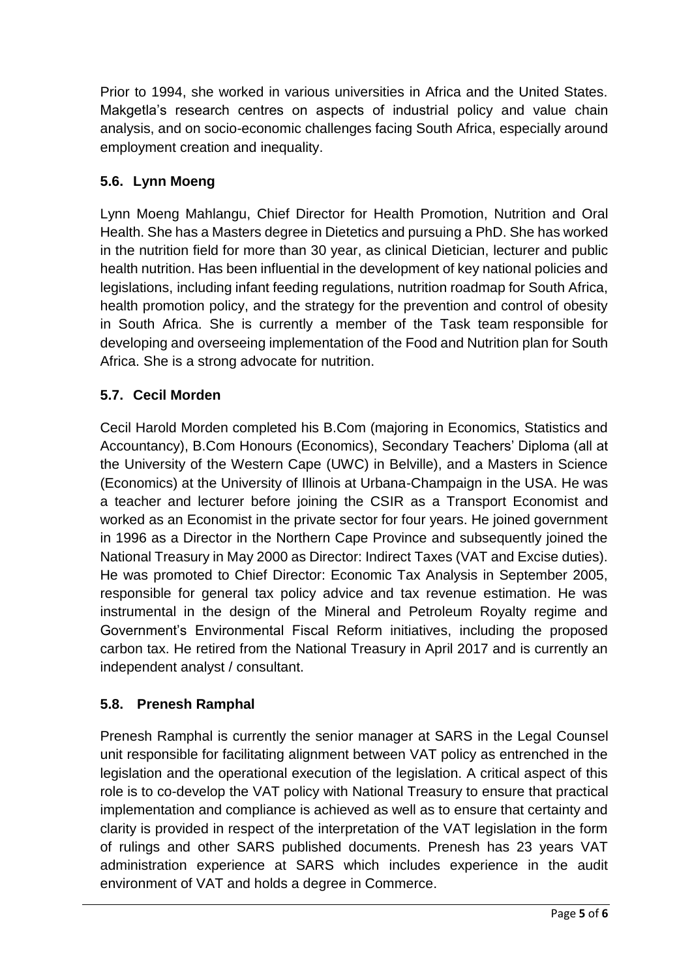Prior to 1994, she worked in various universities in Africa and the United States. Makgetla's research centres on aspects of industrial policy and value chain analysis, and on socio-economic challenges facing South Africa, especially around employment creation and inequality.

# **5.6. Lynn Moeng**

Lynn Moeng Mahlangu, Chief Director for Health Promotion, Nutrition and Oral Health. She has a Masters degree in Dietetics and pursuing a PhD. She has worked in the nutrition field for more than 30 year, as clinical Dietician, lecturer and public health nutrition. Has been influential in the development of key national policies and legislations, including infant feeding regulations, nutrition roadmap for South Africa, health promotion policy, and the strategy for the prevention and control of obesity in South Africa. She is currently a member of the Task team responsible for developing and overseeing implementation of the Food and Nutrition plan for South Africa. She is a strong advocate for nutrition.

# **5.7. Cecil Morden**

Cecil Harold Morden completed his B.Com (majoring in Economics, Statistics and Accountancy), B.Com Honours (Economics), Secondary Teachers' Diploma (all at the University of the Western Cape (UWC) in Belville), and a Masters in Science (Economics) at the University of Illinois at Urbana-Champaign in the USA. He was a teacher and lecturer before joining the CSIR as a Transport Economist and worked as an Economist in the private sector for four years. He joined government in 1996 as a Director in the Northern Cape Province and subsequently joined the National Treasury in May 2000 as Director: Indirect Taxes (VAT and Excise duties). He was promoted to Chief Director: Economic Tax Analysis in September 2005, responsible for general tax policy advice and tax revenue estimation. He was instrumental in the design of the Mineral and Petroleum Royalty regime and Government's Environmental Fiscal Reform initiatives, including the proposed carbon tax. He retired from the National Treasury in April 2017 and is currently an independent analyst / consultant.

# **5.8. Prenesh Ramphal**

Prenesh Ramphal is currently the senior manager at SARS in the Legal Counsel unit responsible for facilitating alignment between VAT policy as entrenched in the legislation and the operational execution of the legislation. A critical aspect of this role is to co-develop the VAT policy with National Treasury to ensure that practical implementation and compliance is achieved as well as to ensure that certainty and clarity is provided in respect of the interpretation of the VAT legislation in the form of rulings and other SARS published documents. Prenesh has 23 years VAT administration experience at SARS which includes experience in the audit environment of VAT and holds a degree in Commerce.